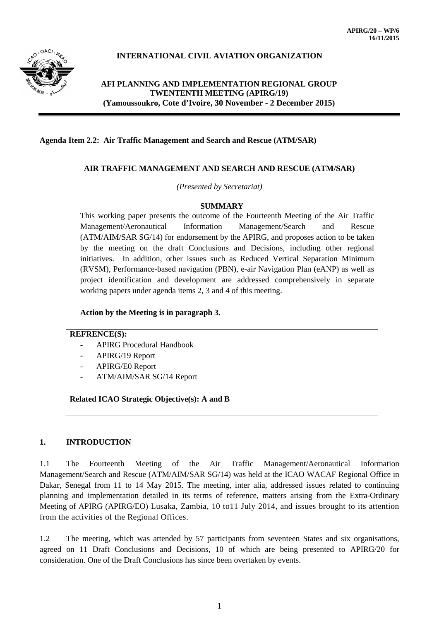

# **INTERNATIONAL CIVIL AVIATION ORGANIZATION**

## **AFI PLANNING AND IMPLEMENTATION REGIONAL GROUP TWENTENTH MEETING (APIRG/19) (Yamoussoukro, Cote d'Ivoire, 30 November - 2 December 2015)**

#### **Agenda Item 2.2: Air Traffic Management and Search and Rescue (ATM/SAR)**

### **AIR TRAFFIC MANAGEMENT AND SEARCH AND RESCUE (ATM/SAR)**

*(Presented by Secretariat)*

**SUMMARY** This working paper presents the outcome of the Fourteenth Meeting of the Air Traffic Management/Aeronautical Information Management/Search and Rescue (ATM/AIM/SAR SG/14) for endorsement by the APIRG, and proposes action to be taken by the meeting on the draft Conclusions and Decisions, including other regional initiatives. In addition, other issues such as Reduced Vertical Separation Minimum (RVSM), Performance-based navigation (PBN), e-air Navigation Plan (eANP) as well as project identification and development are addressed comprehensively in separate working papers under agenda items 2, 3 and 4 of this meeting.

#### **Action by the Meeting is in paragraph 3.**

#### **REFRENCE(S):**

- APIRG Procedural Handbook
- APIRG/19 Report
- APIRG/E0 Report
- ATM/AIM/SAR SG/14 Report

**Related ICAO Strategic Objective(s): A and B**

#### **1. INTRODUCTION**

1.1 The Fourteenth Meeting of the Air Traffic Management/Aeronautical Information Management/Search and Rescue (ATM/AIM/SAR SG/14) was held at the ICAO WACAF Regional Office in Dakar, Senegal from 11 to 14 May 2015. The meeting, inter alia, addressed issues related to continuing planning and implementation detailed in its terms of reference, matters arising from the Extra-Ordinary Meeting of APIRG (APIRG/EO) Lusaka, Zambia, 10 to11 July 2014, and issues brought to its attention from the activities of the Regional Offices.

1.2 The meeting, which was attended by 57 participants from seventeen States and six organisations, agreed on 11 Draft Conclusions and Decisions, 10 of which are being presented to APIRG/20 for consideration. One of the Draft Conclusions has since been overtaken by events.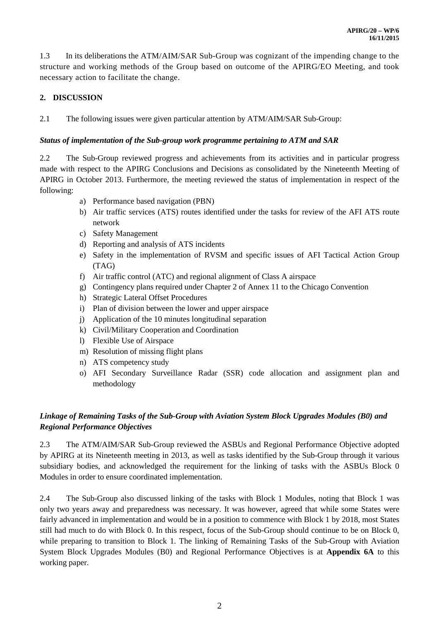1.3 In its deliberations the ATM/AIM/SAR Sub-Group was cognizant of the impending change to the structure and working methods of the Group based on outcome of the APIRG/EO Meeting, and took necessary action to facilitate the change.

# **2. DISCUSSION**

2.1 The following issues were given particular attention by ATM/AIM/SAR Sub-Group:

### *Status of implementation of the Sub-group work programme pertaining to ATM and SAR*

2.2 The Sub-Group reviewed progress and achievements from its activities and in particular progress made with respect to the APIRG Conclusions and Decisions as consolidated by the Nineteenth Meeting of APIRG in October 2013. Furthermore, the meeting reviewed the status of implementation in respect of the following:

- a) Performance based navigation (PBN)
- b) Air traffic services (ATS) routes identified under the tasks for review of the AFI ATS route network
- c) Safety Management
- d) Reporting and analysis of ATS incidents
- e) Safety in the implementation of RVSM and specific issues of AFI Tactical Action Group (TAG)
- f) Air traffic control (ATC) and regional alignment of Class A airspace
- g) Contingency plans required under Chapter 2 of Annex 11 to the Chicago Convention
- h) Strategic Lateral Offset Procedures
- i) Plan of division between the lower and upper airspace
- j) Application of the 10 minutes longitudinal separation
- k) Civil/Military Cooperation and Coordination
- l) Flexible Use of Airspace
- m) Resolution of missing flight plans
- n) ATS competency study
- o) AFI Secondary Surveillance Radar (SSR) code allocation and assignment plan and methodology

# *Linkage of Remaining Tasks of the Sub-Group with Aviation System Block Upgrades Modules (B0) and Regional Performance Objectives*

2.3 The ATM/AIM/SAR Sub-Group reviewed the ASBUs and Regional Performance Objective adopted by APIRG at its Nineteenth meeting in 2013, as well as tasks identified by the Sub-Group through it various subsidiary bodies, and acknowledged the requirement for the linking of tasks with the ASBUs Block 0 Modules in order to ensure coordinated implementation.

2.4 The Sub-Group also discussed linking of the tasks with Block 1 Modules, noting that Block 1 was only two years away and preparedness was necessary. It was however, agreed that while some States were fairly advanced in implementation and would be in a position to commence with Block 1 by 2018, most States still had much to do with Block 0. In this respect, focus of the Sub-Group should continue to be on Block 0, while preparing to transition to Block 1. The linking of Remaining Tasks of the Sub-Group with Aviation System Block Upgrades Modules (B0) and Regional Performance Objectives is at **Appendix 6A** to this working paper.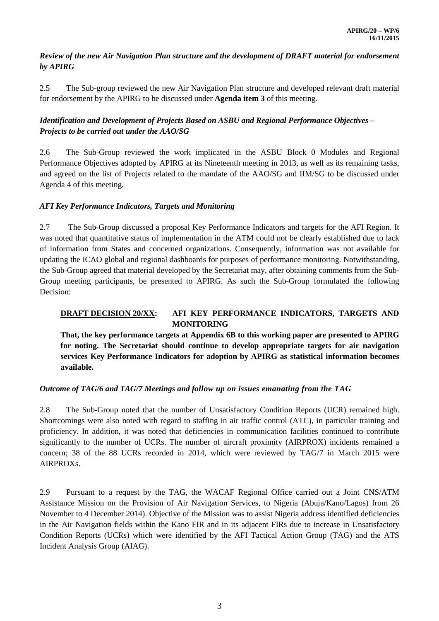## *Review of the new Air Navigation Plan structure and the development of DRAFT material for endorsement by APIRG*

2.5 The Sub-group reviewed the new Air Navigation Plan structure and developed relevant draft material for endorsement by the APIRG to be discussed under **Agenda item 3** of this meeting.

# *Identification and Development of Projects Based on ASBU and Regional Performance Objectives – Projects to be carried out under the AAO/SG*

2.6 The Sub-Group reviewed the work implicated in the ASBU Block 0 Modules and Regional Performance Objectives adopted by APIRG at its Nineteenth meeting in 2013, as well as its remaining tasks, and agreed on the list of Projects related to the mandate of the AAO/SG and IIM/SG to be discussed under Agenda 4 of this meeting.

## *AFI Key Performance Indicators, Targets and Monitoring*

2.7 The Sub-Group discussed a proposal Key Performance Indicators and targets for the AFI Region. It was noted that quantitative status of implementation in the ATM could not be clearly established due to lack of information from States and concerned organizations. Consequently, information was not available for updating the ICAO global and regional dashboards for purposes of performance monitoring. Notwithstanding, the Sub-Group agreed that material developed by the Secretariat may, after obtaining comments from the Sub-Group meeting participants, be presented to APIRG. As such the Sub-Group formulated the following Decision:

## **DRAFT DECISION 20/XX: AFI KEY PERFORMANCE INDICATORS, TARGETS AND MONITORING**

**That, the key performance targets at Appendix 6B to this working paper are presented to APIRG for noting. The Secretariat should continue to develop appropriate targets for air navigation services Key Performance Indicators for adoption by APIRG as statistical information becomes available.**

# *Outcome of TAG/6 and TAG/7 Meetings and follow up on issues emanating from the TAG*

2.8 The Sub-Group noted that the number of Unsatisfactory Condition Reports (UCR) remained high. Shortcomings were also noted with regard to staffing in air traffic control (ATC), in particular training and proficiency. In addition, it was noted that deficiencies in communication facilities continued to contribute significantly to the number of UCRs. The number of aircraft proximity (AIRPROX) incidents remained a concern; 38 of the 88 UCRs recorded in 2014, which were reviewed by TAG/7 in March 2015 were AIRPROXs.

2.9 Pursuant to a request by the TAG, the WACAF Regional Office carried out a Joint CNS/ATM Assistance Mission on the Provision of Air Navigation Services, to Nigeria (Abuja/Kano/Lagos) from 26 November to 4 December 2014). Objective of the Mission was to assist Nigeria address identified deficiencies in the Air Navigation fields within the Kano FIR and in its adjacent FIRs due to increase in Unsatisfactory Condition Reports (UCRs) which were identified by the AFI Tactical Action Group (TAG) and the ATS Incident Analysis Group (AIAG).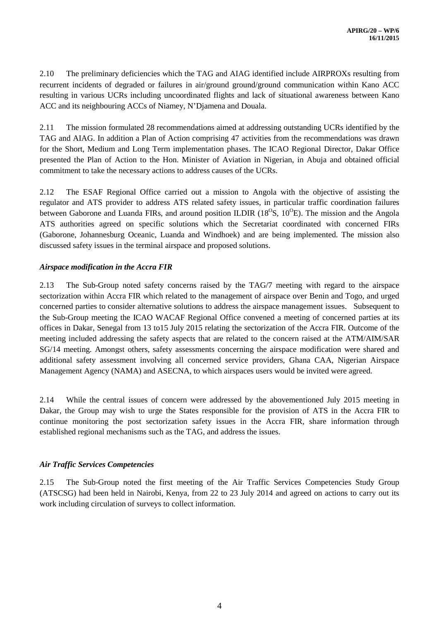2.10 The preliminary deficiencies which the TAG and AIAG identified include AIRPROXs resulting from recurrent incidents of degraded or failures in air/ground ground/ground communication within Kano ACC resulting in various UCRs including uncoordinated flights and lack of situational awareness between Kano ACC and its neighbouring ACCs of Niamey, N'Djamena and Douala.

2.11 The mission formulated 28 recommendations aimed at addressing outstanding UCRs identified by the TAG and AIAG. In addition a Plan of Action comprising 47 activities from the recommendations was drawn for the Short, Medium and Long Term implementation phases. The ICAO Regional Director, Dakar Office presented the Plan of Action to the Hon. Minister of Aviation in Nigerian, in Abuja and obtained official commitment to take the necessary actions to address causes of the UCRs.

2.12 The ESAF Regional Office carried out a mission to Angola with the objective of assisting the regulator and ATS provider to address ATS related safety issues, in particular traffic coordination failures between Gaborone and Luanda FIRs, and around position ILDIR ( $18^{\circ}$ S,  $10^{\circ}$ E). The mission and the Angola ATS authorities agreed on specific solutions which the Secretariat coordinated with concerned FIRs (Gaborone, Johannesburg Oceanic, Luanda and Windhoek) and are being implemented. The mission also discussed safety issues in the terminal airspace and proposed solutions.

### *Airspace modification in the Accra FIR*

2.13 The Sub-Group noted safety concerns raised by the TAG/7 meeting with regard to the airspace sectorization within Accra FIR which related to the management of airspace over Benin and Togo, and urged concerned parties to consider alternative solutions to address the airspace management issues. Subsequent to the Sub-Group meeting the ICAO WACAF Regional Office convened a meeting of concerned parties at its offices in Dakar, Senegal from 13 to15 July 2015 relating the sectorization of the Accra FIR. Outcome of the meeting included addressing the safety aspects that are related to the concern raised at the ATM/AIM/SAR SG/14 meeting. Amongst others, safety assessments concerning the airspace modification were shared and additional safety assessment involving all concerned service providers, Ghana CAA, Nigerian Airspace Management Agency (NAMA) and ASECNA, to which airspaces users would be invited were agreed.

2.14 While the central issues of concern were addressed by the abovementioned July 2015 meeting in Dakar, the Group may wish to urge the States responsible for the provision of ATS in the Accra FIR to continue monitoring the post sectorization safety issues in the Accra FIR, share information through established regional mechanisms such as the TAG, and address the issues.

# *Air Traffic Services Competencies*

2.15 The Sub-Group noted the first meeting of the Air Traffic Services Competencies Study Group (ATSCSG) had been held in Nairobi, Kenya, from 22 to 23 July 2014 and agreed on actions to carry out its work including circulation of surveys to collect information.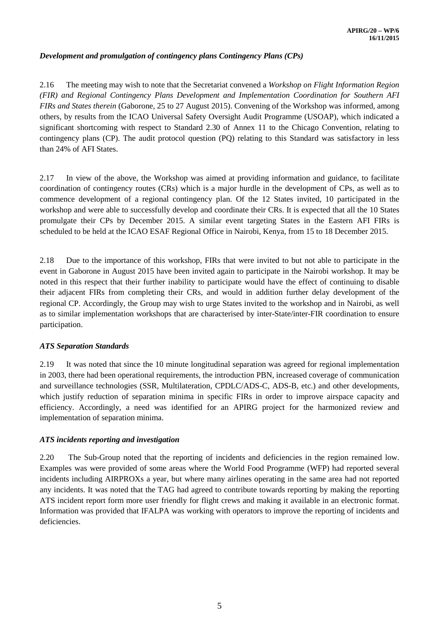### *Development and promulgation of contingency plans Contingency Plans (CPs)*

2.16 The meeting may wish to note that the Secretariat convened a *Workshop on Flight Information Region (FIR) and Regional Contingency Plans Development and Implementation Coordination for Southern AFI FIRs and States therein* (Gaborone, 25 to 27 August 2015). Convening of the Workshop was informed, among others, by results from the ICAO Universal Safety Oversight Audit Programme (USOAP), which indicated a significant shortcoming with respect to Standard 2.30 of Annex 11 to the Chicago Convention, relating to contingency plans (CP). The audit protocol question (PQ) relating to this Standard was satisfactory in less than 24% of AFI States.

2.17 In view of the above, the Workshop was aimed at providing information and guidance, to facilitate coordination of contingency routes (CRs) which is a major hurdle in the development of CPs, as well as to commence development of a regional contingency plan. Of the 12 States invited, 10 participated in the workshop and were able to successfully develop and coordinate their CRs. It is expected that all the 10 States promulgate their CPs by December 2015. A similar event targeting States in the Eastern AFI FIRs is scheduled to be held at the ICAO ESAF Regional Office in Nairobi, Kenya, from 15 to 18 December 2015.

2.18 Due to the importance of this workshop, FIRs that were invited to but not able to participate in the event in Gaborone in August 2015 have been invited again to participate in the Nairobi workshop. It may be noted in this respect that their further inability to participate would have the effect of continuing to disable their adjacent FIRs from completing their CRs, and would in addition further delay development of the regional CP. Accordingly, the Group may wish to urge States invited to the workshop and in Nairobi, as well as to similar implementation workshops that are characterised by inter-State/inter-FIR coordination to ensure participation.

### *ATS Separation Standards*

2.19 It was noted that since the 10 minute longitudinal separation was agreed for regional implementation in 2003, there had been operational requirements, the introduction PBN, increased coverage of communication and surveillance technologies (SSR, Multilateration, CPDLC/ADS-C, ADS-B, etc.) and other developments, which justify reduction of separation minima in specific FIRs in order to improve airspace capacity and efficiency. Accordingly, a need was identified for an APIRG project for the harmonized review and implementation of separation minima.

#### *ATS incidents reporting and investigation*

2.20 The Sub-Group noted that the reporting of incidents and deficiencies in the region remained low. Examples was were provided of some areas where the World Food Programme (WFP) had reported several incidents including AIRPROXs a year, but where many airlines operating in the same area had not reported any incidents. It was noted that the TAG had agreed to contribute towards reporting by making the reporting ATS incident report form more user friendly for flight crews and making it available in an electronic format. Information was provided that IFALPA was working with operators to improve the reporting of incidents and deficiencies.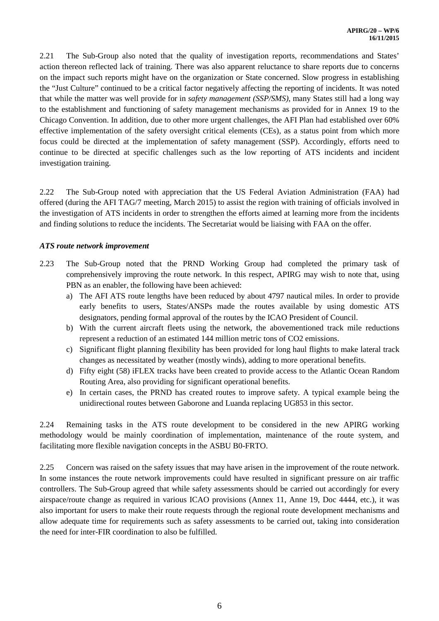2.21 The Sub-Group also noted that the quality of investigation reports, recommendations and States' action thereon reflected lack of training. There was also apparent reluctance to share reports due to concerns on the impact such reports might have on the organization or State concerned. Slow progress in establishing the "Just Culture" continued to be a critical factor negatively affecting the reporting of incidents. It was noted that while the matter was well provide for in *safety management (SSP/SMS)*, many States still had a long way to the establishment and functioning of safety management mechanisms as provided for in Annex 19 to the Chicago Convention. In addition, due to other more urgent challenges, the AFI Plan had established over 60% effective implementation of the safety oversight critical elements (CEs), as a status point from which more focus could be directed at the implementation of safety management (SSP). Accordingly, efforts need to continue to be directed at specific challenges such as the low reporting of ATS incidents and incident investigation training.

2.22 The Sub-Group noted with appreciation that the US Federal Aviation Administration (FAA) had offered (during the AFI TAG/7 meeting, March 2015) to assist the region with training of officials involved in the investigation of ATS incidents in order to strengthen the efforts aimed at learning more from the incidents and finding solutions to reduce the incidents. The Secretariat would be liaising with FAA on the offer.

#### *ATS route network improvement*

- 2.23 The Sub-Group noted that the PRND Working Group had completed the primary task of comprehensively improving the route network. In this respect, APIRG may wish to note that, using PBN as an enabler, the following have been achieved:
	- a) The AFI ATS route lengths have been reduced by about 4797 nautical miles. In order to provide early benefits to users, States/ANSPs made the routes available by using domestic ATS designators, pending formal approval of the routes by the ICAO President of Council.
	- b) With the current aircraft fleets using the network, the abovementioned track mile reductions represent a reduction of an estimated 144 million metric tons of CO2 emissions.
	- c) Significant flight planning flexibility has been provided for long haul flights to make lateral track changes as necessitated by weather (mostly winds), adding to more operational benefits.
	- d) Fifty eight (58) iFLEX tracks have been created to provide access to the Atlantic Ocean Random Routing Area, also providing for significant operational benefits.
	- e) In certain cases, the PRND has created routes to improve safety. A typical example being the unidirectional routes between Gaborone and Luanda replacing UG853 in this sector.

2.24 Remaining tasks in the ATS route development to be considered in the new APIRG working methodology would be mainly coordination of implementation, maintenance of the route system, and facilitating more flexible navigation concepts in the ASBU B0-FRTO.

2.25 Concern was raised on the safety issues that may have arisen in the improvement of the route network. In some instances the route network improvements could have resulted in significant pressure on air traffic controllers. The Sub-Group agreed that while safety assessments should be carried out accordingly for every airspace/route change as required in various ICAO provisions (Annex 11, Anne 19, Doc 4444, etc.), it was also important for users to make their route requests through the regional route development mechanisms and allow adequate time for requirements such as safety assessments to be carried out, taking into consideration the need for inter-FIR coordination to also be fulfilled.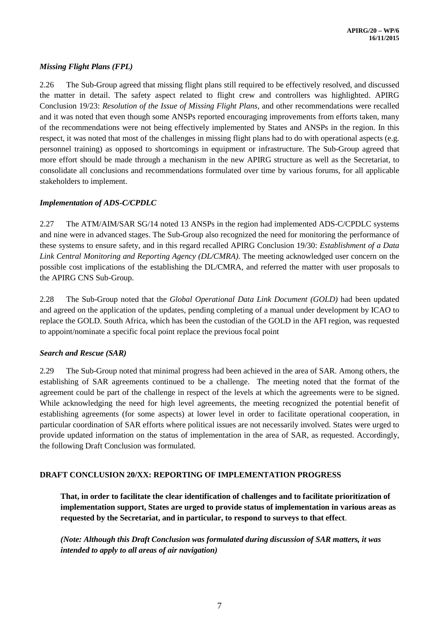## *Missing Flight Plans (FPL)*

2.26 The Sub-Group agreed that missing flight plans still required to be effectively resolved, and discussed the matter in detail. The safety aspect related to flight crew and controllers was highlighted. APIRG Conclusion 19/23: *Resolution of the Issue of Missing Flight Plans*, and other recommendations were recalled and it was noted that even though some ANSPs reported encouraging improvements from efforts taken, many of the recommendations were not being effectively implemented by States and ANSPs in the region. In this respect, it was noted that most of the challenges in missing flight plans had to do with operational aspects (e.g. personnel training) as opposed to shortcomings in equipment or infrastructure. The Sub-Group agreed that more effort should be made through a mechanism in the new APIRG structure as well as the Secretariat, to consolidate all conclusions and recommendations formulated over time by various forums, for all applicable stakeholders to implement.

### *Implementation of ADS-C/CPDLC*

2.27 The ATM/AIM/SAR SG/14 noted 13 ANSPs in the region had implemented ADS-C/CPDLC systems and nine were in advanced stages. The Sub-Group also recognized the need for monitoring the performance of these systems to ensure safety, and in this regard recalled APIRG Conclusion 19/30: *Establishment of a Data Link Central Monitoring and Reporting Agency (DL/CMRA)*. The meeting acknowledged user concern on the possible cost implications of the establishing the DL/CMRA, and referred the matter with user proposals to the APIRG CNS Sub-Group.

2.28 The Sub-Group noted that the *Global Operational Data Link Document (GOLD)* had been updated and agreed on the application of the updates, pending completing of a manual under development by ICAO to replace the GOLD. South Africa, which has been the custodian of the GOLD in the AFI region, was requested to appoint/nominate a specific focal point replace the previous focal point

### *Search and Rescue (SAR)*

2.29 The Sub-Group noted that minimal progress had been achieved in the area of SAR. Among others, the establishing of SAR agreements continued to be a challenge. The meeting noted that the format of the agreement could be part of the challenge in respect of the levels at which the agreements were to be signed. While acknowledging the need for high level agreements, the meeting recognized the potential benefit of establishing agreements (for some aspects) at lower level in order to facilitate operational cooperation, in particular coordination of SAR efforts where political issues are not necessarily involved. States were urged to provide updated information on the status of implementation in the area of SAR, as requested. Accordingly, the following Draft Conclusion was formulated.

### **DRAFT CONCLUSION 20/XX: REPORTING OF IMPLEMENTATION PROGRESS**

**That, in order to facilitate the clear identification of challenges and to facilitate prioritization of implementation support, States are urged to provide status of implementation in various areas as requested by the Secretariat, and in particular, to respond to surveys to that effect**.

*(Note: Although this Draft Conclusion was formulated during discussion of SAR matters, it was intended to apply to all areas of air navigation)*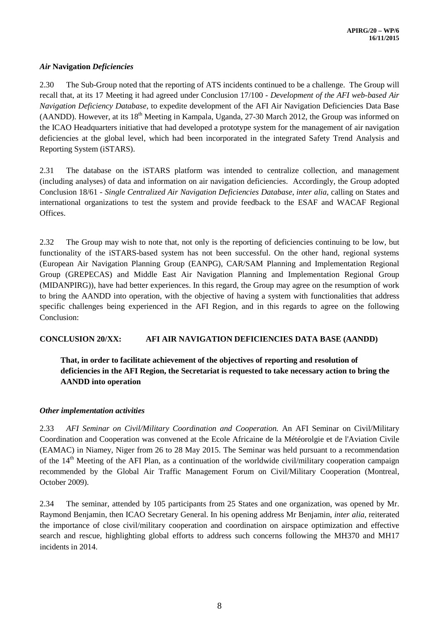### *Air* **Navigation** *Deficiencies*

2.30 The Sub-Group noted that the reporting of ATS incidents continued to be a challenge. The Group will recall that, at its 17 Meeting it had agreed under Conclusion 17/100 - *Development of the AFI web-based Air Navigation Deficiency Database*, to expedite development of the AFI Air Navigation Deficiencies Data Base (AANDD). However, at its 18<sup>th</sup> Meeting in Kampala, Uganda, 27-30 March 2012, the Group was informed on the ICAO Headquarters initiative that had developed a prototype system for the management of air navigation deficiencies at the global level, which had been incorporated in the integrated Safety Trend Analysis and Reporting System (iSTARS).

2.31 The database on the iSTARS platform was intended to centralize collection, and management (including analyses) of data and information on air navigation deficiencies. Accordingly, the Group adopted Conclusion 18/61 *- Single Centralized Air Navigation Deficiencies Database*, *inter alia*, calling on States and international organizations to test the system and provide feedback to the ESAF and WACAF Regional Offices.

2.32 The Group may wish to note that, not only is the reporting of deficiencies continuing to be low, but functionality of the iSTARS-based system has not been successful. On the other hand, regional systems (European Air Navigation Planning Group (EANPG), CAR/SAM Planning and Implementation Regional Group (GREPECAS) and Middle East Air Navigation Planning and Implementation Regional Group (MIDANPIRG)), have had better experiences. In this regard, the Group may agree on the resumption of work to bring the AANDD into operation, with the objective of having a system with functionalities that address specific challenges being experienced in the AFI Region, and in this regards to agree on the following Conclusion:

### **CONCLUSION 20/XX: AFI AIR NAVIGATION DEFICIENCIES DATA BASE (AANDD)**

# **That, in order to facilitate achievement of the objectives of reporting and resolution of deficiencies in the AFI Region, the Secretariat is requested to take necessary action to bring the AANDD into operation**

### *Other implementation activities*

2.33 *AFI Seminar on Civil/Military Coordination and Cooperation.* An AFI Seminar on Civil/Military Coordination and Cooperation was convened at the Ecole Africaine de la Météorolgie et de l'Aviation Civile (EAMAC) in Niamey, Niger from 26 to 28 May 2015. The Seminar was held pursuant to a recommendation of the 14<sup>th</sup> Meeting of the AFI Plan, as a continuation of the worldwide civil/military cooperation campaign recommended by the Global Air Traffic Management Forum on Civil/Military Cooperation (Montreal, October 2009).

2.34 The seminar, attended by 105 participants from 25 States and one organization, was opened by Mr. Raymond Benjamin, then ICAO Secretary General. In his opening address Mr Benjamin, *inter alia*, reiterated the importance of close civil/military cooperation and coordination on airspace optimization and effective search and rescue, highlighting global efforts to address such concerns following the MH370 and MH17 incidents in 2014.